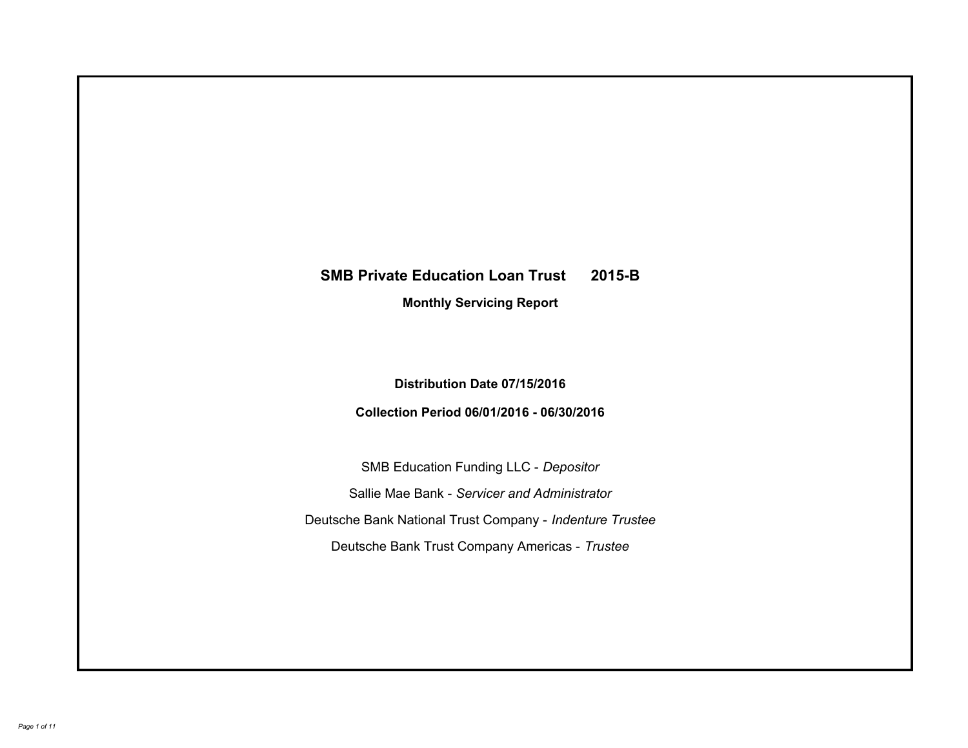# **SMB Private Education Loan Trust 2015-B Monthly Servicing Report**

# **Distribution Date 07/15/2016**

# **Collection Period 06/01/2016 - 06/30/2016**

SMB Education Funding LLC - *Depositor* Sallie Mae Bank - *Servicer and Administrator* Deutsche Bank National Trust Company - *Indenture Trustee* Deutsche Bank Trust Company Americas - *Trustee*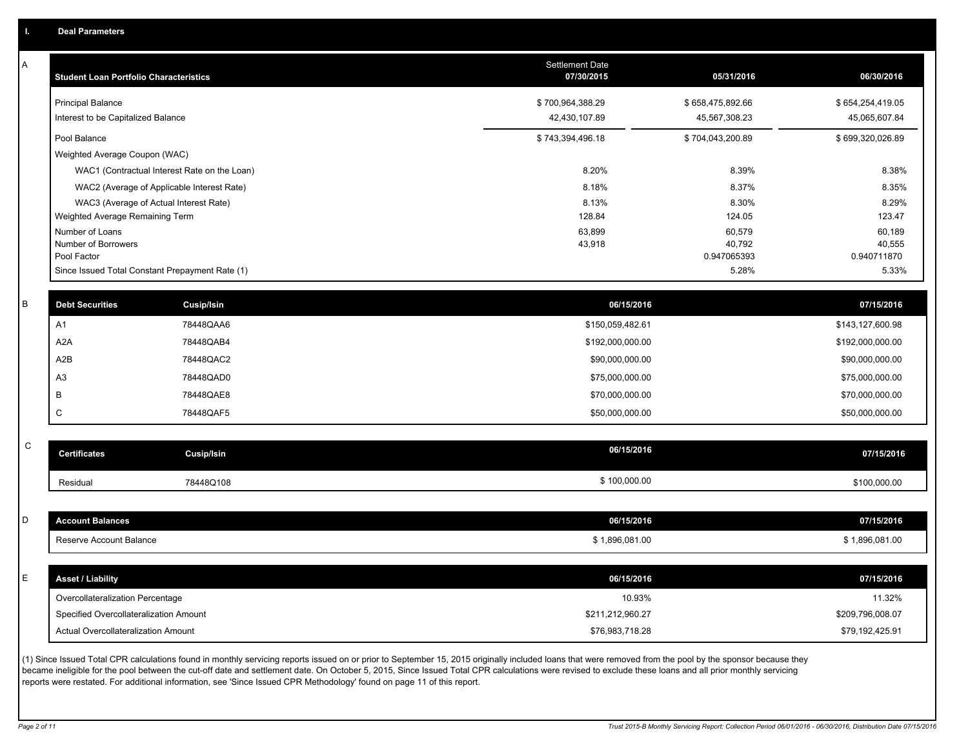A

| A | <b>Student Loan Portfolio Characteristics</b> |                                                 | <b>Settlement Date</b><br>07/30/2015 | 05/31/2016            | 06/30/2016            |
|---|-----------------------------------------------|-------------------------------------------------|--------------------------------------|-----------------------|-----------------------|
|   | <b>Principal Balance</b>                      |                                                 | \$700,964,388.29                     | \$658,475,892.66      | \$654,254,419.05      |
|   | Interest to be Capitalized Balance            |                                                 | 42,430,107.89                        | 45,567,308.23         | 45,065,607.84         |
|   | Pool Balance                                  |                                                 | \$743,394,496.18                     | \$704,043,200.89      | \$699,320,026.89      |
|   | Weighted Average Coupon (WAC)                 |                                                 |                                      |                       |                       |
|   |                                               | WAC1 (Contractual Interest Rate on the Loan)    | 8.20%                                | 8.39%                 | 8.38%                 |
|   |                                               | WAC2 (Average of Applicable Interest Rate)      | 8.18%                                | 8.37%                 | 8.35%                 |
|   |                                               | WAC3 (Average of Actual Interest Rate)          | 8.13%                                | 8.30%                 | 8.29%                 |
|   | Weighted Average Remaining Term               |                                                 | 128.84                               | 124.05                | 123.47                |
|   | Number of Loans                               |                                                 | 63,899                               | 60,579                | 60,189                |
|   | Number of Borrowers<br>Pool Factor            |                                                 | 43,918                               | 40,792<br>0.947065393 | 40,555<br>0.940711870 |
|   |                                               | Since Issued Total Constant Prepayment Rate (1) |                                      | 5.28%                 | 5.33%                 |
|   |                                               |                                                 |                                      |                       |                       |
| B | <b>Debt Securities</b>                        | <b>Cusip/Isin</b>                               | 06/15/2016                           |                       | 07/15/2016            |
|   | A <sub>1</sub>                                | 78448QAA6                                       | \$150,059,482.61                     |                       | \$143,127,600.98      |
|   | A <sub>2</sub> A                              | 78448QAB4                                       | \$192,000,000.00                     |                       | \$192,000,000.00      |
|   | A2B                                           | 78448QAC2                                       | \$90,000,000.00                      |                       | \$90,000,000.00       |
|   | A <sub>3</sub>                                | 78448QAD0                                       | \$75,000,000.00                      |                       | \$75,000,000.00       |
|   | B                                             | 78448QAE8                                       | \$70,000,000.00                      |                       | \$70,000,000.00       |
|   | $\mathsf{C}$                                  | 78448QAF5                                       | \$50,000,000.00                      |                       | \$50,000,000.00       |
|   |                                               |                                                 |                                      |                       |                       |
| C | <b>Certificates</b>                           | Cusip/Isin                                      | 06/15/2016                           |                       | 07/15/2016            |
|   | Residual                                      | 78448Q108                                       | \$100,000.00                         |                       | \$100,000.00          |
|   |                                               |                                                 |                                      |                       |                       |
| D | <b>Account Balances</b>                       |                                                 | 06/15/2016                           |                       | 07/15/2016            |
|   | Reserve Account Balance                       |                                                 | \$1,896,081.00                       |                       | \$1,896,081.00        |
|   |                                               |                                                 |                                      |                       |                       |
| F | <b>Asset / Liability</b>                      |                                                 | 06/15/2016                           |                       | 07/15/2016            |
|   | Overcollateralization Percentage              |                                                 | 10.93%                               |                       | 11.32%                |
|   | Specified Overcollateralization Amount        |                                                 | \$211,212,960.27                     |                       | \$209,796,008.07      |
|   | Actual Overcollateralization Amount           |                                                 | \$76,983,718.28                      |                       | \$79,192,425.91       |

(1) Since Issued Total CPR calculations found in monthly servicing reports issued on or prior to September 15, 2015 originally included loans that were removed from the pool by the sponsor because they became ineligible for the pool between the cut-off date and settlement date. On October 5, 2015, Since Issued Total CPR calculations were revised to exclude these loans and all prior monthly servicing reports were restated. For additional information, see 'Since Issued CPR Methodology' found on page 11 of this report.

C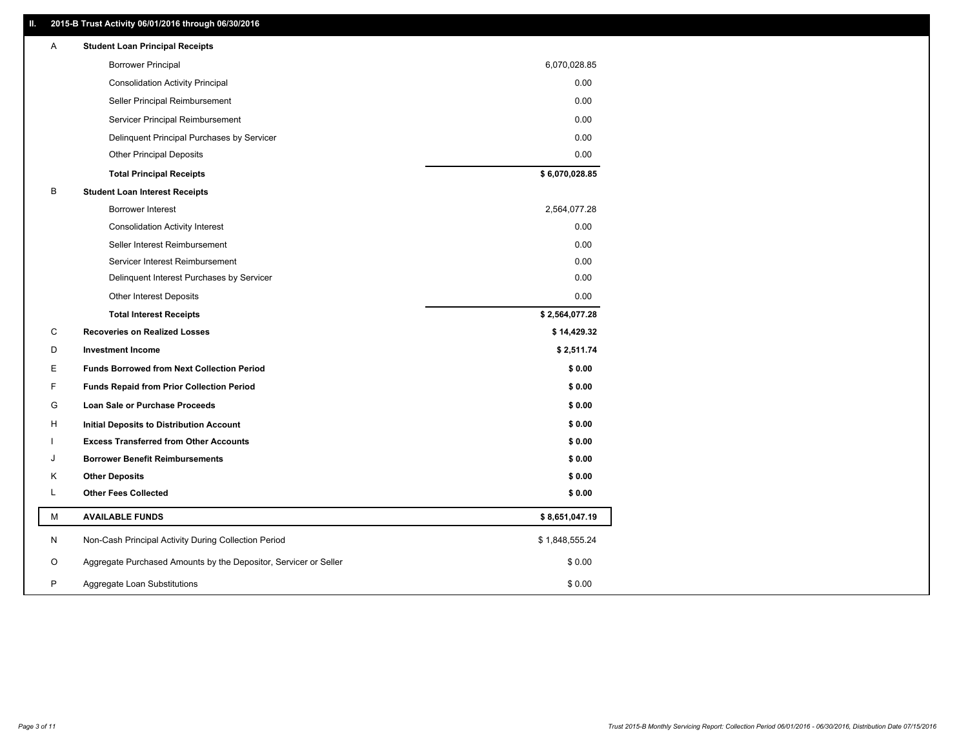### **II. 2015-B Trust Activity 06/01/2016 through 06/30/2016**

| Α | <b>Student Loan Principal Receipts</b>                           |                |  |
|---|------------------------------------------------------------------|----------------|--|
|   | <b>Borrower Principal</b>                                        | 6,070,028.85   |  |
|   | <b>Consolidation Activity Principal</b>                          | 0.00           |  |
|   | Seller Principal Reimbursement                                   | 0.00           |  |
|   | Servicer Principal Reimbursement                                 | 0.00           |  |
|   | Delinquent Principal Purchases by Servicer                       | 0.00           |  |
|   | <b>Other Principal Deposits</b>                                  | 0.00           |  |
|   | <b>Total Principal Receipts</b>                                  | \$6,070,028.85 |  |
| В | <b>Student Loan Interest Receipts</b>                            |                |  |
|   | <b>Borrower Interest</b>                                         | 2,564,077.28   |  |
|   | <b>Consolidation Activity Interest</b>                           | 0.00           |  |
|   | Seller Interest Reimbursement                                    | 0.00           |  |
|   | Servicer Interest Reimbursement                                  | 0.00           |  |
|   | Delinquent Interest Purchases by Servicer                        | 0.00           |  |
|   | Other Interest Deposits                                          | 0.00           |  |
|   | <b>Total Interest Receipts</b>                                   | \$2,564,077.28 |  |
| C | <b>Recoveries on Realized Losses</b>                             | \$14,429.32    |  |
| D | <b>Investment Income</b>                                         | \$2,511.74     |  |
| Ε | <b>Funds Borrowed from Next Collection Period</b>                | \$0.00         |  |
| F | <b>Funds Repaid from Prior Collection Period</b>                 | \$0.00         |  |
| G | Loan Sale or Purchase Proceeds                                   | \$0.00         |  |
| H | Initial Deposits to Distribution Account                         | \$0.00         |  |
|   | <b>Excess Transferred from Other Accounts</b>                    | \$0.00         |  |
| J | <b>Borrower Benefit Reimbursements</b>                           | \$0.00         |  |
| Κ | <b>Other Deposits</b>                                            | \$0.00         |  |
| L | <b>Other Fees Collected</b>                                      | \$0.00         |  |
| М | <b>AVAILABLE FUNDS</b>                                           | \$8,651,047.19 |  |
| N | Non-Cash Principal Activity During Collection Period             | \$1,848,555.24 |  |
| O | Aggregate Purchased Amounts by the Depositor, Servicer or Seller | \$0.00         |  |
| P | Aggregate Loan Substitutions                                     | \$0.00         |  |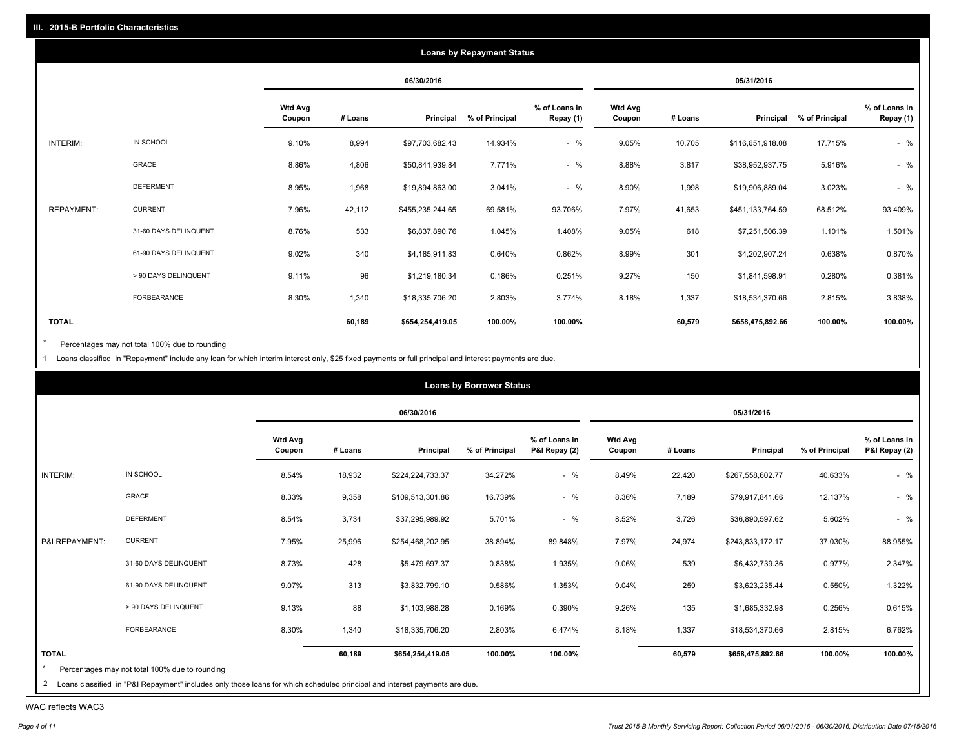|                   |                       |                          |         |                  | <b>Loans by Repayment Status</b> |                            |                          |         |                  |                |                            |
|-------------------|-----------------------|--------------------------|---------|------------------|----------------------------------|----------------------------|--------------------------|---------|------------------|----------------|----------------------------|
|                   |                       |                          |         | 06/30/2016       |                                  |                            |                          |         | 05/31/2016       |                |                            |
|                   |                       | <b>Wtd Avg</b><br>Coupon | # Loans | Principal        | % of Principal                   | % of Loans in<br>Repay (1) | <b>Wtd Avg</b><br>Coupon | # Loans | Principal        | % of Principal | % of Loans in<br>Repay (1) |
| INTERIM:          | IN SCHOOL             | 9.10%                    | 8,994   | \$97,703,682.43  | 14.934%                          | $-$ %                      | 9.05%                    | 10,705  | \$116,651,918.08 | 17.715%        | $-$ %                      |
|                   | GRACE                 | 8.86%                    | 4,806   | \$50,841,939.84  | 7.771%                           | $-$ %                      | 8.88%                    | 3,817   | \$38,952,937.75  | 5.916%         | $-$ %                      |
|                   | <b>DEFERMENT</b>      | 8.95%                    | 1,968   | \$19,894,863.00  | 3.041%                           | $-$ %                      | 8.90%                    | 1,998   | \$19,906,889.04  | 3.023%         | $-$ %                      |
| <b>REPAYMENT:</b> | <b>CURRENT</b>        | 7.96%                    | 42,112  | \$455,235,244.65 | 69.581%                          | 93.706%                    | 7.97%                    | 41,653  | \$451,133,764.59 | 68.512%        | 93.409%                    |
|                   | 31-60 DAYS DELINQUENT | 8.76%                    | 533     | \$6,837,890.76   | 1.045%                           | 1.408%                     | 9.05%                    | 618     | \$7,251,506.39   | 1.101%         | 1.501%                     |
|                   | 61-90 DAYS DELINQUENT | 9.02%                    | 340     | \$4,185,911.83   | 0.640%                           | 0.862%                     | 8.99%                    | 301     | \$4,202,907.24   | 0.638%         | 0.870%                     |
|                   | > 90 DAYS DELINQUENT  | 9.11%                    | 96      | \$1,219,180.34   | 0.186%                           | 0.251%                     | 9.27%                    | 150     | \$1,841,598.91   | 0.280%         | 0.381%                     |
|                   | FORBEARANCE           | 8.30%                    | 1,340   | \$18,335,706.20  | 2.803%                           | 3.774%                     | 8.18%                    | 1,337   | \$18,534,370.66  | 2.815%         | 3.838%                     |
| <b>TOTAL</b>      |                       |                          | 60,189  | \$654,254,419.05 | 100.00%                          | 100.00%                    |                          | 60,579  | \$658,475,892.66 | 100.00%        | 100.00%                    |

Percentages may not total 100% due to rounding  $^\star$ 

1 Loans classified in "Repayment" include any loan for which interim interest only, \$25 fixed payments or full principal and interest payments are due.

|                                                                                 |                                                |                          |         |                  | <b>Loans by Borrower Status</b> |                                |                          |         |                  |                |                                |
|---------------------------------------------------------------------------------|------------------------------------------------|--------------------------|---------|------------------|---------------------------------|--------------------------------|--------------------------|---------|------------------|----------------|--------------------------------|
|                                                                                 |                                                |                          |         | 06/30/2016       |                                 |                                |                          |         | 05/31/2016       |                |                                |
|                                                                                 |                                                | <b>Wtd Avg</b><br>Coupon | # Loans | Principal        | % of Principal                  | % of Loans in<br>P&I Repay (2) | <b>Wtd Avg</b><br>Coupon | # Loans | Principal        | % of Principal | % of Loans in<br>P&I Repay (2) |
| INTERIM:                                                                        | IN SCHOOL                                      | 8.54%                    | 18,932  | \$224,224,733.37 | 34.272%                         | $-$ %                          | 8.49%                    | 22,420  | \$267,558,602.77 | 40.633%        | $-$ %                          |
|                                                                                 | GRACE                                          | 8.33%                    | 9,358   | \$109,513,301.86 | 16.739%                         | $-$ %                          | 8.36%                    | 7,189   | \$79,917,841.66  | 12.137%        | $-$ %                          |
|                                                                                 | <b>DEFERMENT</b>                               | 8.54%                    | 3,734   | \$37,295,989.92  | 5.701%                          | $-$ %                          | 8.52%                    | 3,726   | \$36,890,597.62  | 5.602%         | $-$ %                          |
| P&I REPAYMENT:                                                                  | <b>CURRENT</b>                                 | 7.95%                    | 25,996  | \$254,468,202.95 | 38.894%                         | 89.848%                        | 7.97%                    | 24,974  | \$243,833,172.17 | 37.030%        | 88.955%                        |
|                                                                                 | 31-60 DAYS DELINQUENT                          | 8.73%                    | 428     | \$5,479,697.37   | 0.838%                          | 1.935%                         | 9.06%                    | 539     | \$6,432,739.36   | 0.977%         | 2.347%                         |
|                                                                                 | 61-90 DAYS DELINQUENT                          | 9.07%                    | 313     | \$3,832,799.10   | 0.586%                          | 1.353%                         | 9.04%                    | 259     | \$3,623,235.44   | 0.550%         | 1.322%                         |
|                                                                                 | > 90 DAYS DELINQUENT                           | 9.13%                    | 88      | \$1,103,988.28   | 0.169%                          | 0.390%                         | 9.26%                    | 135     | \$1,685,332.98   | 0.256%         | 0.615%                         |
|                                                                                 | FORBEARANCE                                    | 8.30%                    | 1,340   | \$18,335,706.20  | 2.803%                          | 6.474%                         | 8.18%                    | 1,337   | \$18,534,370.66  | 2.815%         | 6.762%                         |
| <b>TOTAL</b>                                                                    |                                                |                          | 60,189  | \$654,254,419.05 | 100.00%                         | 100.00%                        |                          | 60,579  | \$658,475,892.66 | 100.00%        | 100.00%                        |
| the contract of the contract of the contract of the contract of the contract of | Percentages may not total 100% due to rounding |                          |         |                  |                                 |                                |                          |         |                  |                |                                |

| 2 Loans classified in "P&I Repayment" includes only those loans for which scheduled principal and interest payments are due.

WAC reflects WAC3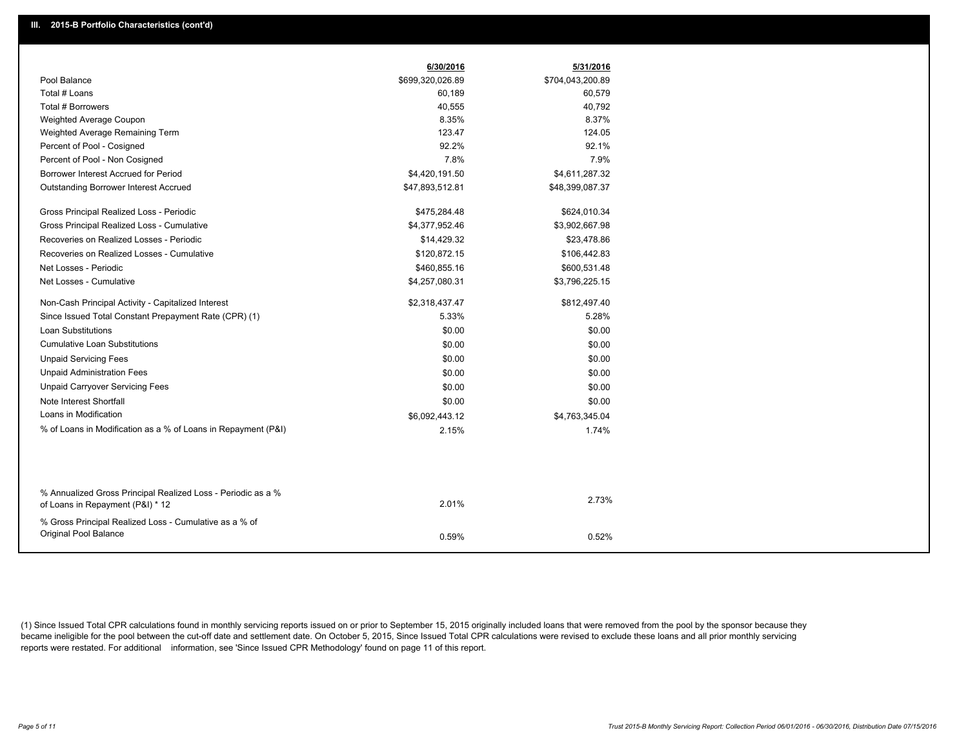|                                                                                                  | 6/30/2016        | 5/31/2016        |
|--------------------------------------------------------------------------------------------------|------------------|------------------|
| Pool Balance                                                                                     | \$699,320,026.89 | \$704,043,200.89 |
| Total # Loans                                                                                    | 60,189           | 60,579           |
| Total # Borrowers                                                                                | 40,555           | 40,792           |
| Weighted Average Coupon                                                                          | 8.35%            | 8.37%            |
| Weighted Average Remaining Term                                                                  | 123.47           | 124.05           |
| Percent of Pool - Cosigned                                                                       | 92.2%            | 92.1%            |
| Percent of Pool - Non Cosigned                                                                   | 7.8%             | 7.9%             |
| Borrower Interest Accrued for Period                                                             | \$4,420,191.50   | \$4,611,287.32   |
| Outstanding Borrower Interest Accrued                                                            | \$47,893,512.81  | \$48,399,087.37  |
| Gross Principal Realized Loss - Periodic                                                         | \$475,284.48     | \$624,010.34     |
| Gross Principal Realized Loss - Cumulative                                                       | \$4,377,952.46   | \$3,902,667.98   |
| Recoveries on Realized Losses - Periodic                                                         | \$14,429.32      | \$23,478.86      |
| Recoveries on Realized Losses - Cumulative                                                       | \$120,872.15     | \$106,442.83     |
| Net Losses - Periodic                                                                            | \$460,855.16     | \$600,531.48     |
| Net Losses - Cumulative                                                                          | \$4,257,080.31   | \$3,796,225.15   |
| Non-Cash Principal Activity - Capitalized Interest                                               | \$2,318,437.47   | \$812,497.40     |
| Since Issued Total Constant Prepayment Rate (CPR) (1)                                            | 5.33%            | 5.28%            |
| <b>Loan Substitutions</b>                                                                        | \$0.00           | \$0.00           |
| <b>Cumulative Loan Substitutions</b>                                                             | \$0.00           | \$0.00           |
| <b>Unpaid Servicing Fees</b>                                                                     | \$0.00           | \$0.00           |
| <b>Unpaid Administration Fees</b>                                                                | \$0.00           | \$0.00           |
| <b>Unpaid Carryover Servicing Fees</b>                                                           | \$0.00           | \$0.00           |
| Note Interest Shortfall                                                                          | \$0.00           | \$0.00           |
| Loans in Modification                                                                            | \$6,092,443.12   | \$4,763,345.04   |
| % of Loans in Modification as a % of Loans in Repayment (P&I)                                    | 2.15%            | 1.74%            |
|                                                                                                  |                  |                  |
| % Annualized Gross Principal Realized Loss - Periodic as a %<br>of Loans in Repayment (P&I) * 12 | 2.01%            | 2.73%            |
|                                                                                                  |                  |                  |
| % Gross Principal Realized Loss - Cumulative as a % of<br>Original Pool Balance                  | 0.59%            | 0.52%            |

(1) Since Issued Total CPR calculations found in monthly servicing reports issued on or prior to September 15, 2015 originally included loans that were removed from the pool by the sponsor because they became ineligible for the pool between the cut-off date and settlement date. On October 5, 2015, Since Issued Total CPR calculations were revised to exclude these loans and all prior monthly servicing reports were restated. For additional information, see 'Since Issued CPR Methodology' found on page 11 of this report.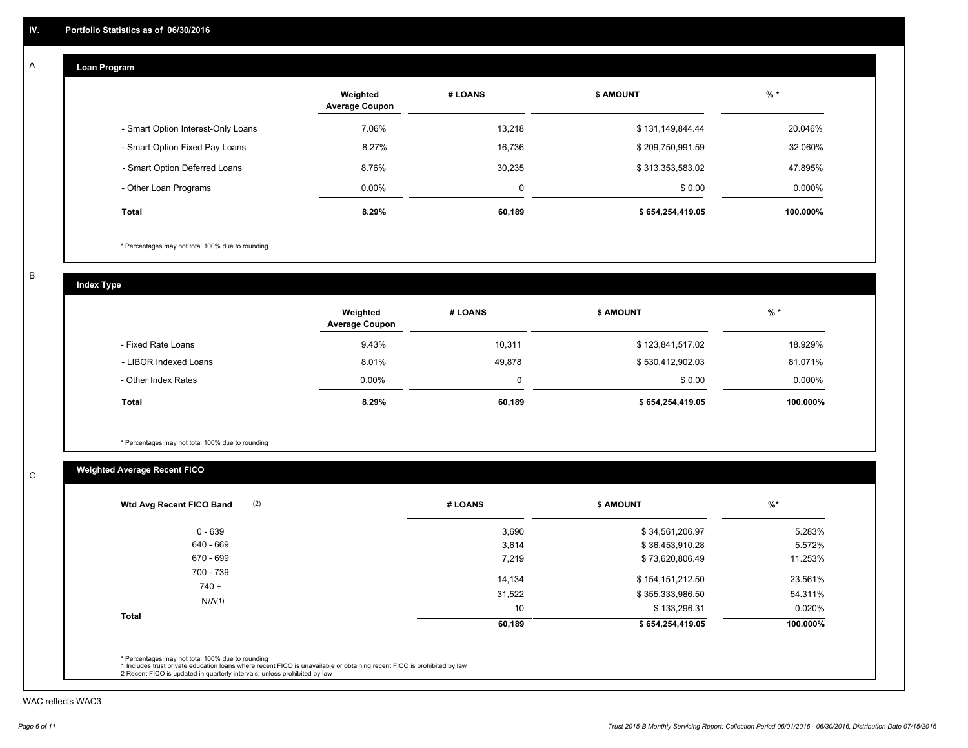#### **Loan Program**  A

|                                    | Weighted<br><b>Average Coupon</b> | # LOANS | <b>\$ AMOUNT</b> | $%$ *     |
|------------------------------------|-----------------------------------|---------|------------------|-----------|
| - Smart Option Interest-Only Loans | 7.06%                             | 13.218  | \$131,149,844.44 | 20.046%   |
| - Smart Option Fixed Pay Loans     | 8.27%                             | 16.736  | \$209,750,991.59 | 32.060%   |
| - Smart Option Deferred Loans      | 8.76%                             | 30.235  | \$313,353,583.02 | 47.895%   |
| - Other Loan Programs              | $0.00\%$                          | 0       | \$0.00           | $0.000\%$ |
| <b>Total</b>                       | 8.29%                             | 60,189  | \$654,254,419.05 | 100.000%  |

\* Percentages may not total 100% due to rounding

B

C

**Index Type**

|                       | Weighted<br><b>Average Coupon</b> | # LOANS | <b>\$ AMOUNT</b> | $%$ *     |
|-----------------------|-----------------------------------|---------|------------------|-----------|
| - Fixed Rate Loans    | 9.43%                             | 10,311  | \$123,841,517.02 | 18.929%   |
| - LIBOR Indexed Loans | 8.01%                             | 49,878  | \$530,412,902.03 | 81.071%   |
| - Other Index Rates   | $0.00\%$                          |         | \$0.00           | $0.000\%$ |
| Total                 | 8.29%                             | 60,189  | \$654,254,419.05 | 100.000%  |

\* Percentages may not total 100% due to rounding

## **Weighted Average Recent FICO**

| # LOANS | <b>\$ AMOUNT</b> | $%$ *     |
|---------|------------------|-----------|
| 3,690   | \$34,561,206.97  | 5.283%    |
| 3,614   | \$36,453,910.28  | 5.572%    |
| 7,219   | \$73,620,806.49  | 11.253%   |
| 14,134  | \$154,151,212.50 | 23.561%   |
| 31,522  | \$355,333,986.50 | 54.311%   |
| 10      | \$133,296.31     | $0.020\%$ |
| 60,189  | \$654,254,419.05 | 100.000%  |
|         |                  |           |

WAC reflects WAC3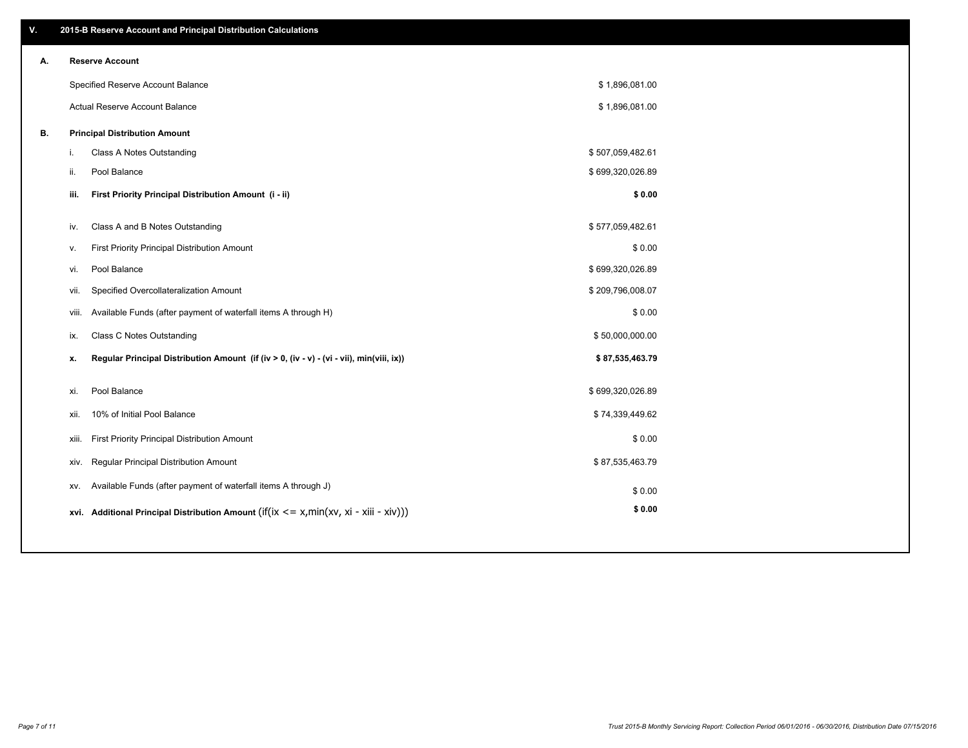| ۷. |     | 2015-B Reserve Account and Principal Distribution Calculations                             |                  |  |
|----|-----|--------------------------------------------------------------------------------------------|------------------|--|
| А. |     | <b>Reserve Account</b>                                                                     |                  |  |
|    |     | Specified Reserve Account Balance                                                          | \$1,896,081.00   |  |
|    |     | Actual Reserve Account Balance                                                             | \$1,896,081.00   |  |
| В. |     | <b>Principal Distribution Amount</b>                                                       |                  |  |
|    | i.  | Class A Notes Outstanding                                                                  | \$507,059,482.61 |  |
|    | ii. | Pool Balance                                                                               | \$699,320,026.89 |  |
|    |     | First Priority Principal Distribution Amount (i - ii)<br>iii.                              | \$0.00           |  |
|    |     |                                                                                            |                  |  |
|    | iv. | Class A and B Notes Outstanding                                                            | \$577,059,482.61 |  |
|    | v.  | First Priority Principal Distribution Amount                                               | \$0.00           |  |
|    |     | Pool Balance<br>vi.                                                                        | \$699,320,026.89 |  |
|    |     | Specified Overcollateralization Amount<br>vii.                                             | \$209,796,008.07 |  |
|    |     | Available Funds (after payment of waterfall items A through H)<br>viii.                    | \$0.00           |  |
|    | ix. | <b>Class C Notes Outstanding</b>                                                           | \$50,000,000.00  |  |
|    | x.  | Regular Principal Distribution Amount (if (iv > 0, (iv - v) - (vi - vii), min(viii, ix))   | \$87,535,463.79  |  |
|    |     |                                                                                            |                  |  |
|    | xi. | Pool Balance                                                                               | \$699,320,026.89 |  |
|    |     | 10% of Initial Pool Balance<br>xii.                                                        | \$74,339,449.62  |  |
|    |     | First Priority Principal Distribution Amount<br>xiii.                                      | \$0.00           |  |
|    |     | <b>Regular Principal Distribution Amount</b><br>xiv.                                       | \$87,535,463.79  |  |
|    |     | Available Funds (after payment of waterfall items A through J)<br>XV.                      | \$0.00           |  |
|    |     | xvi. Additional Principal Distribution Amount (if(ix $\lt$ = x, min(xv, xi - xiii - xiv))) | \$0.00           |  |
|    |     |                                                                                            |                  |  |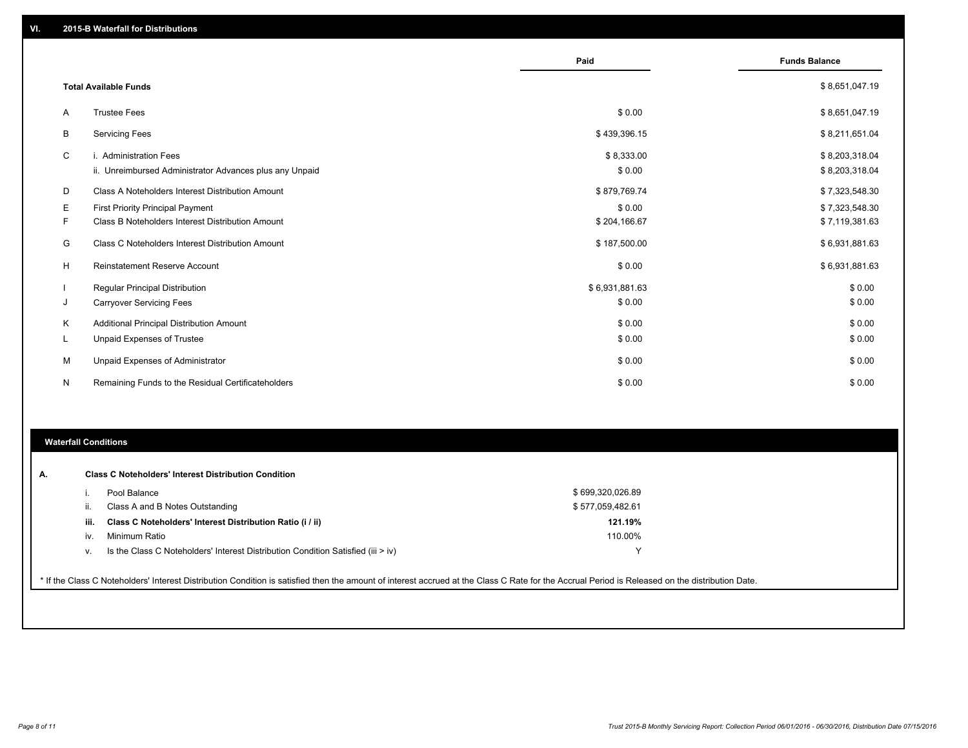|    |                                                                                   | Paid                 | <b>Funds Balance</b>             |
|----|-----------------------------------------------------------------------------------|----------------------|----------------------------------|
|    | <b>Total Available Funds</b>                                                      |                      | \$8,651,047.19                   |
| A  | <b>Trustee Fees</b>                                                               | \$0.00               | \$8,651,047.19                   |
| B  | <b>Servicing Fees</b>                                                             | \$439,396.15         | \$8,211,651.04                   |
| C  | i. Administration Fees<br>ii. Unreimbursed Administrator Advances plus any Unpaid | \$8,333.00<br>\$0.00 | \$8,203,318.04<br>\$8,203,318.04 |
| D  | Class A Noteholders Interest Distribution Amount                                  | \$879,769.74         | \$7,323,548.30                   |
| Е  | <b>First Priority Principal Payment</b>                                           | \$0.00               | \$7,323,548.30                   |
| F  | Class B Noteholders Interest Distribution Amount                                  | \$204,166.67         | \$7,119,381.63                   |
| G  | Class C Noteholders Interest Distribution Amount                                  | \$187,500.00         | \$6,931,881.63                   |
| н  | <b>Reinstatement Reserve Account</b>                                              | \$0.00               | \$6,931,881.63                   |
|    | <b>Regular Principal Distribution</b>                                             | \$6,931,881.63       | \$0.00                           |
| J  | <b>Carryover Servicing Fees</b>                                                   | \$0.00               | \$0.00                           |
| Κ  | Additional Principal Distribution Amount                                          | \$0.00               | \$0.00                           |
| L. | Unpaid Expenses of Trustee                                                        | \$0.00               | \$0.00                           |
| М  | Unpaid Expenses of Administrator                                                  | \$0.00               | \$0.00                           |
| N  | Remaining Funds to the Residual Certificateholders                                | \$0.00               | \$0.00                           |

#### **Waterfall Conditions**

| А. |      | <b>Class C Noteholders' Interest Distribution Condition</b>                                                                                                                                     |                  |  |
|----|------|-------------------------------------------------------------------------------------------------------------------------------------------------------------------------------------------------|------------------|--|
|    |      | Pool Balance                                                                                                                                                                                    | \$699,320,026.89 |  |
|    | H.   | Class A and B Notes Outstanding                                                                                                                                                                 | \$577,059,482.61 |  |
|    | iii. | Class C Noteholders' Interest Distribution Ratio (i / ii)                                                                                                                                       | 121.19%          |  |
|    | iv.  | Minimum Ratio                                                                                                                                                                                   | 110.00%          |  |
|    | V.   | Is the Class C Noteholders' Interest Distribution Condition Satisfied (iii > iv)                                                                                                                |                  |  |
|    |      |                                                                                                                                                                                                 |                  |  |
|    |      | * If the Class C Noteholders' Interest Distribution Condition is satisfied then the amount of interest accrued at the Class C Rate for the Accrual Period is Released on the distribution Date. |                  |  |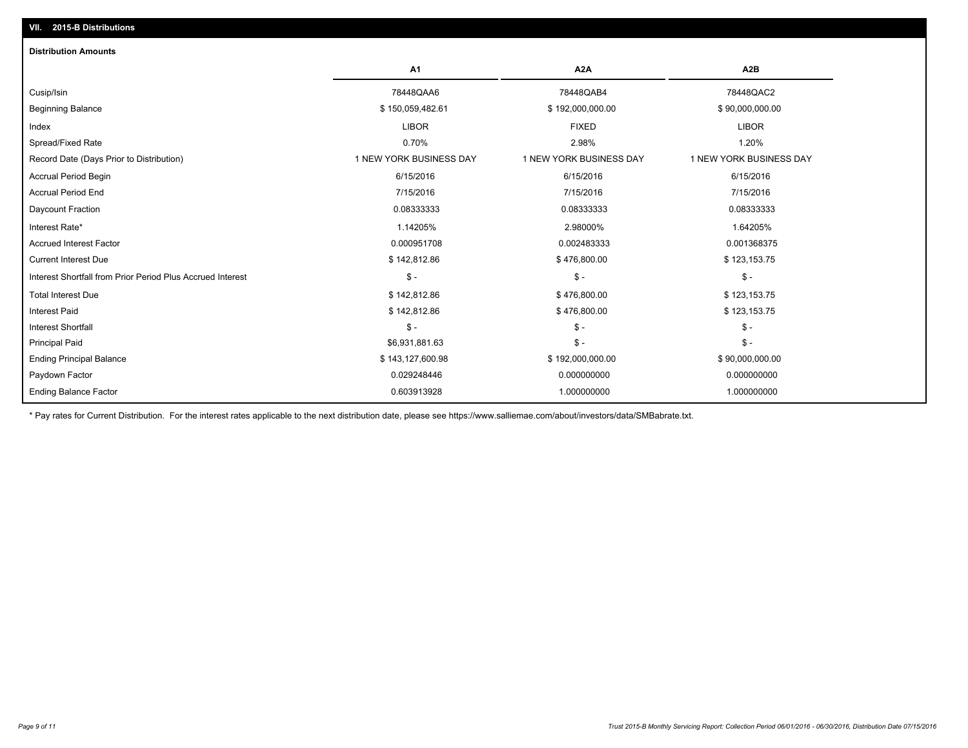| <b>Distribution Amounts</b>                                |                         |                         |                         |
|------------------------------------------------------------|-------------------------|-------------------------|-------------------------|
|                                                            | A1                      | A <sub>2</sub> A        | A <sub>2</sub> B        |
| Cusip/Isin                                                 | 78448QAA6               | 78448QAB4               | 78448QAC2               |
| <b>Beginning Balance</b>                                   | \$150,059,482.61        | \$192,000,000.00        | \$90,000,000.00         |
| Index                                                      | <b>LIBOR</b>            | <b>FIXED</b>            | <b>LIBOR</b>            |
| Spread/Fixed Rate                                          | 0.70%                   | 2.98%                   | 1.20%                   |
| Record Date (Days Prior to Distribution)                   | 1 NEW YORK BUSINESS DAY | 1 NEW YORK BUSINESS DAY | 1 NEW YORK BUSINESS DAY |
| Accrual Period Begin                                       | 6/15/2016               | 6/15/2016               | 6/15/2016               |
| <b>Accrual Period End</b>                                  | 7/15/2016               | 7/15/2016               | 7/15/2016               |
| Daycount Fraction                                          | 0.08333333              | 0.08333333              | 0.08333333              |
| Interest Rate*                                             | 1.14205%                | 2.98000%                | 1.64205%                |
| <b>Accrued Interest Factor</b>                             | 0.000951708             | 0.002483333             | 0.001368375             |
| <b>Current Interest Due</b>                                | \$142,812.86            | \$476,800.00            | \$123,153.75            |
| Interest Shortfall from Prior Period Plus Accrued Interest | $\mathsf{\$}$ -         | $\mathsf{\$}$ -         | $\mathsf{\$}$ -         |
| <b>Total Interest Due</b>                                  | \$142,812.86            | \$476,800.00            | \$123,153.75            |
| <b>Interest Paid</b>                                       | \$142,812.86            | \$476,800.00            | \$123,153.75            |
| <b>Interest Shortfall</b>                                  | $S -$                   | $S -$                   | $\mathsf{\$}$ -         |
| <b>Principal Paid</b>                                      | \$6,931,881.63          | $\mathsf{\$}$ -         | $\mathsf{\$}$ -         |
| <b>Ending Principal Balance</b>                            | \$143,127,600.98        | \$192,000,000.00        | \$90,000,000.00         |
| Paydown Factor                                             | 0.029248446             | 0.000000000             | 0.000000000             |
| <b>Ending Balance Factor</b>                               | 0.603913928             | 1.000000000             | 1.000000000             |

\* Pay rates for Current Distribution. For the interest rates applicable to the next distribution date, please see https://www.salliemae.com/about/investors/data/SMBabrate.txt.

**VII. 2015-B Distributions**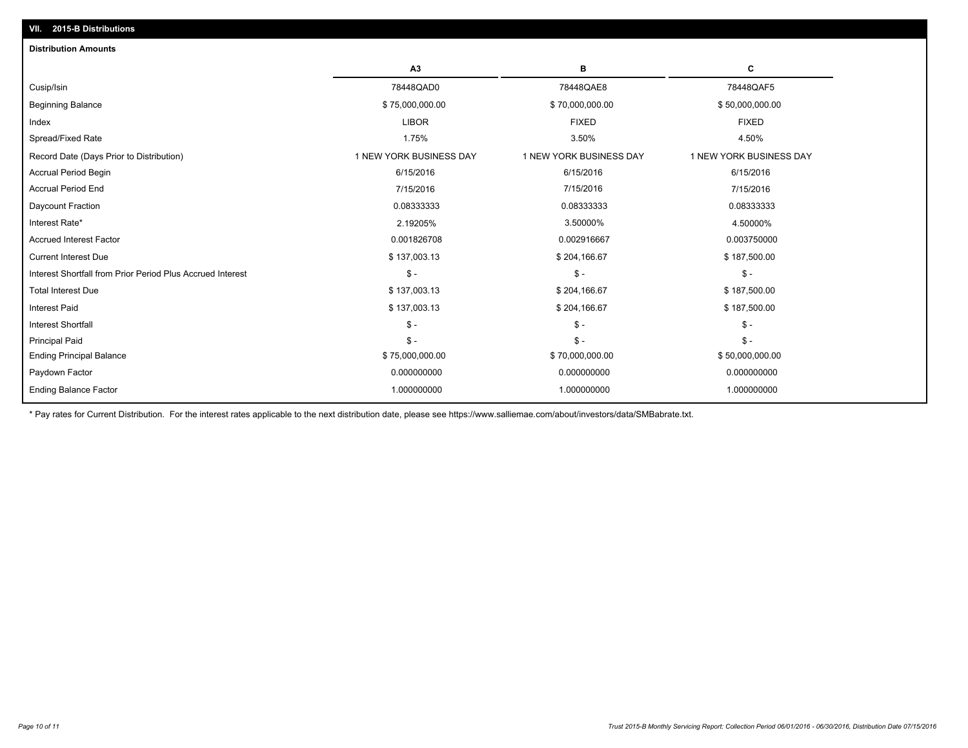| A <sub>3</sub><br>в<br>С<br>78448QAD0<br>78448QAE8<br>78448QAF5<br>\$75,000,000.00<br>\$70,000,000.00<br>\$50,000,000.00<br><b>LIBOR</b><br><b>FIXED</b><br><b>FIXED</b><br>3.50%<br>1.75%<br>4.50%<br>1 NEW YORK BUSINESS DAY<br>1 NEW YORK BUSINESS DAY<br>1 NEW YORK BUSINESS DAY<br>6/15/2016<br>6/15/2016<br>6/15/2016<br>7/15/2016<br>7/15/2016<br>7/15/2016<br>0.08333333<br>0.08333333<br>0.08333333<br>2.19205%<br>3.50000%<br>4.50000%<br>0.001826708<br>0.003750000<br>0.002916667<br>\$137,003.13<br>\$204,166.67<br>\$187,500.00<br>$S -$<br>$\mathsf{\$}$ -<br>$\mathsf{\$}$ -<br>\$137,003.13<br>\$204,166.67<br>\$187,500.00<br>\$137,003.13<br>\$204,166.67<br>\$187,500.00<br>$\mathsf{\$}$ -<br>$\mathsf{\$}$ -<br>$\mathsf{\$}$ -<br>$\mathsf{\$}$ -<br>$\mathsf{\$}$ -<br>$S -$<br>\$75,000,000.00<br>\$70,000,000.00<br>\$50,000,000.00<br>0.000000000<br>0.000000000<br>0.000000000<br>1.000000000<br>1.000000000<br>1.000000000 | <b>Distribution Amounts</b>                                |  |  |
|---------------------------------------------------------------------------------------------------------------------------------------------------------------------------------------------------------------------------------------------------------------------------------------------------------------------------------------------------------------------------------------------------------------------------------------------------------------------------------------------------------------------------------------------------------------------------------------------------------------------------------------------------------------------------------------------------------------------------------------------------------------------------------------------------------------------------------------------------------------------------------------------------------------------------------------------------------|------------------------------------------------------------|--|--|
|                                                                                                                                                                                                                                                                                                                                                                                                                                                                                                                                                                                                                                                                                                                                                                                                                                                                                                                                                         |                                                            |  |  |
|                                                                                                                                                                                                                                                                                                                                                                                                                                                                                                                                                                                                                                                                                                                                                                                                                                                                                                                                                         | Cusip/Isin                                                 |  |  |
|                                                                                                                                                                                                                                                                                                                                                                                                                                                                                                                                                                                                                                                                                                                                                                                                                                                                                                                                                         | <b>Beginning Balance</b>                                   |  |  |
|                                                                                                                                                                                                                                                                                                                                                                                                                                                                                                                                                                                                                                                                                                                                                                                                                                                                                                                                                         | Index                                                      |  |  |
|                                                                                                                                                                                                                                                                                                                                                                                                                                                                                                                                                                                                                                                                                                                                                                                                                                                                                                                                                         | Spread/Fixed Rate                                          |  |  |
|                                                                                                                                                                                                                                                                                                                                                                                                                                                                                                                                                                                                                                                                                                                                                                                                                                                                                                                                                         | Record Date (Days Prior to Distribution)                   |  |  |
|                                                                                                                                                                                                                                                                                                                                                                                                                                                                                                                                                                                                                                                                                                                                                                                                                                                                                                                                                         | <b>Accrual Period Begin</b>                                |  |  |
|                                                                                                                                                                                                                                                                                                                                                                                                                                                                                                                                                                                                                                                                                                                                                                                                                                                                                                                                                         | <b>Accrual Period End</b>                                  |  |  |
|                                                                                                                                                                                                                                                                                                                                                                                                                                                                                                                                                                                                                                                                                                                                                                                                                                                                                                                                                         | Daycount Fraction                                          |  |  |
|                                                                                                                                                                                                                                                                                                                                                                                                                                                                                                                                                                                                                                                                                                                                                                                                                                                                                                                                                         | Interest Rate*                                             |  |  |
|                                                                                                                                                                                                                                                                                                                                                                                                                                                                                                                                                                                                                                                                                                                                                                                                                                                                                                                                                         | <b>Accrued Interest Factor</b>                             |  |  |
|                                                                                                                                                                                                                                                                                                                                                                                                                                                                                                                                                                                                                                                                                                                                                                                                                                                                                                                                                         | <b>Current Interest Due</b>                                |  |  |
|                                                                                                                                                                                                                                                                                                                                                                                                                                                                                                                                                                                                                                                                                                                                                                                                                                                                                                                                                         | Interest Shortfall from Prior Period Plus Accrued Interest |  |  |
|                                                                                                                                                                                                                                                                                                                                                                                                                                                                                                                                                                                                                                                                                                                                                                                                                                                                                                                                                         | <b>Total Interest Due</b>                                  |  |  |
|                                                                                                                                                                                                                                                                                                                                                                                                                                                                                                                                                                                                                                                                                                                                                                                                                                                                                                                                                         | Interest Paid                                              |  |  |
|                                                                                                                                                                                                                                                                                                                                                                                                                                                                                                                                                                                                                                                                                                                                                                                                                                                                                                                                                         | <b>Interest Shortfall</b>                                  |  |  |
|                                                                                                                                                                                                                                                                                                                                                                                                                                                                                                                                                                                                                                                                                                                                                                                                                                                                                                                                                         | <b>Principal Paid</b>                                      |  |  |
|                                                                                                                                                                                                                                                                                                                                                                                                                                                                                                                                                                                                                                                                                                                                                                                                                                                                                                                                                         | <b>Ending Principal Balance</b>                            |  |  |
|                                                                                                                                                                                                                                                                                                                                                                                                                                                                                                                                                                                                                                                                                                                                                                                                                                                                                                                                                         | Paydown Factor                                             |  |  |
|                                                                                                                                                                                                                                                                                                                                                                                                                                                                                                                                                                                                                                                                                                                                                                                                                                                                                                                                                         | <b>Ending Balance Factor</b>                               |  |  |

\* Pay rates for Current Distribution. For the interest rates applicable to the next distribution date, please see https://www.salliemae.com/about/investors/data/SMBabrate.txt.

**VII. 2015-B Distributions**